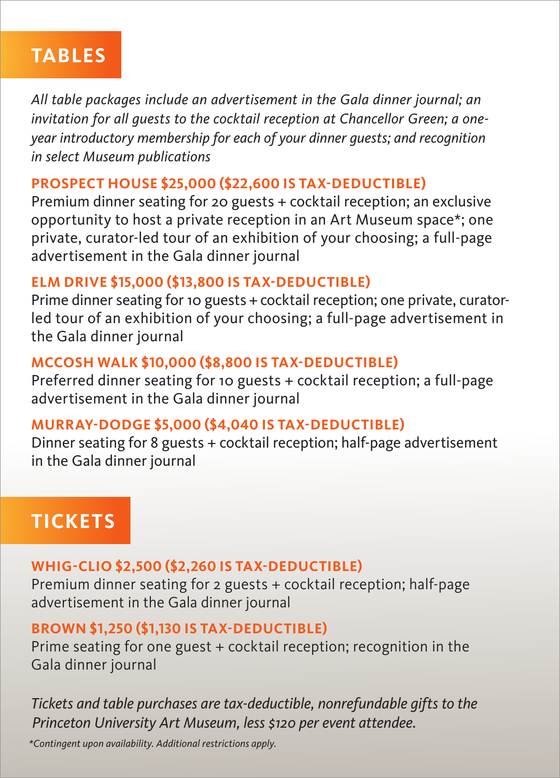## **TABLES**

*All table packages include an advertisement in the Gala dinner journal; an invitation for all guests to the cocktail reception at Chancellor Green; a oneyear introductory membership for each of your dinner guests; and recognition in select Museum publications* 

### **PROSPECT HOUSE \$25,000 (\$22,600 IS TAX-DEDUCTIBLE)**

Premium dinner seating for 20 guests + cocktail reception; an exclusive opportunity to host a private reception in an Art Museum space\*; one private, curator-led tour of an exhibition of your choosing; a full-page advertisement in the Gala dinner journal

### **ELM DRIVE \$15,000 (\$13,800 IS TAX-DEDUCTIBLE)**

Prime dinner seating for 10 guests + cocktail reception; one private, curatorled tour of an exhibition of your choosing; a full-page advertisement in the Gala dinner journal

### **MCCOSH WALK \$10,000 (\$8,800 IS TAX-DEDUCTIBLE)**

Preferred dinner seating for 10 guests + cocktail reception; a full-page advertisement in the Gala dinner journal

### **MURRAY-DODGE \$5,000 (\$4,040 IS TAX-DEDUCTIBLE)**

Dinner seating for 8 guests + cocktail reception; half-page advertisement in the Gala dinner journal

# **TICKETS**

### **WHIG-CLIO \$2,500 (\$2,260 IS TAX-DEDUCTIBLE)**

Premium dinner seating for 2 guests + cocktail reception; half-page advertisement in the Gala dinner journal

### **BROWN \$1,250 (\$1,130 IS TAX-DEDUCTIBLE)**

Prime seating for one guest + cocktail reception; recognition in the Gala dinner journal

*Tickets and table purchases are tax-deductible, nonrefundable gifts to the Princeton University Art Museum, less \$120 per event attendee.*

*\*Contingent upon availability. Additional restrictions apply.*